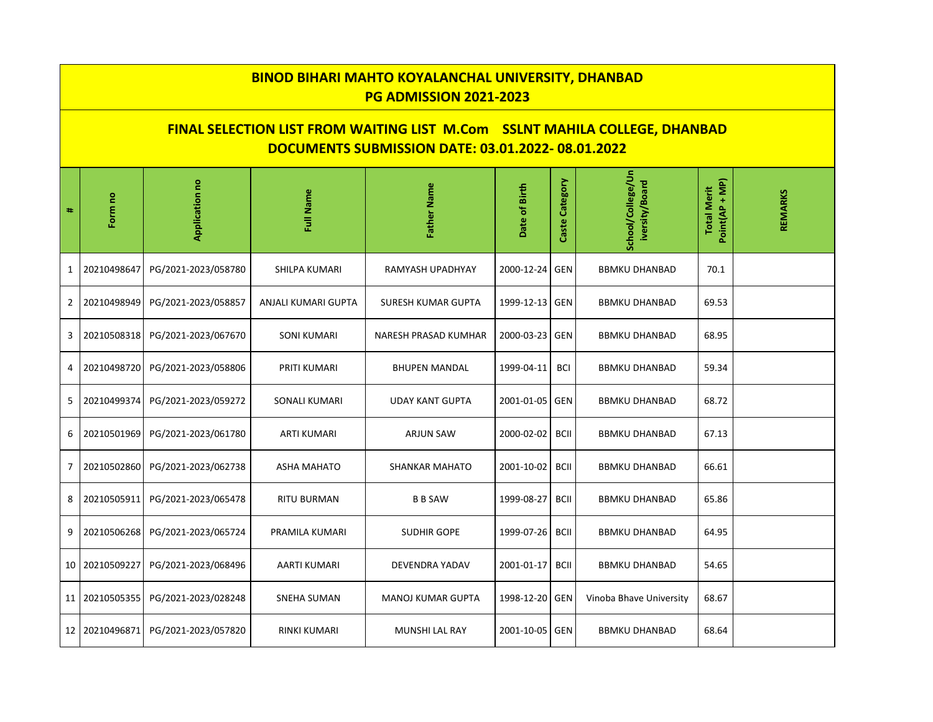| <b>BINOD BIHARI MAHTO KOYALANCHAL UNIVERSITY, DHANBAD</b><br><b>PG ADMISSION 2021-2023</b>                                                   |             |                     |                     |                           |                |                |                                     |                                      |                |  |  |
|----------------------------------------------------------------------------------------------------------------------------------------------|-------------|---------------------|---------------------|---------------------------|----------------|----------------|-------------------------------------|--------------------------------------|----------------|--|--|
| <b>FINAL SELECTION LIST FROM WAITING LIST M.Com SSLNT MAHILA COLLEGE, DHANBAD</b><br><b>DOCUMENTS SUBMISSION DATE: 03.01.2022-08.01.2022</b> |             |                     |                     |                           |                |                |                                     |                                      |                |  |  |
| #                                                                                                                                            | Form no     | Application no      | Full Name           | Father Name               | Date of Birth  | Caste Category | School/College/Un<br>iversity/Board | Point(AP + MP)<br><b>Total Merit</b> | <b>REMARKS</b> |  |  |
| $\mathbf{1}$                                                                                                                                 | 20210498647 | PG/2021-2023/058780 | SHILPA KUMARI       | RAMYASH UPADHYAY          | 2000-12-24     | GEN            | <b>BBMKU DHANBAD</b>                | 70.1                                 |                |  |  |
| $\mathbf{2}$                                                                                                                                 | 20210498949 | PG/2021-2023/058857 | ANJALI KUMARI GUPTA | <b>SURESH KUMAR GUPTA</b> | 1999-12-13     | <b>GEN</b>     | <b>BBMKU DHANBAD</b>                | 69.53                                |                |  |  |
| 3                                                                                                                                            | 20210508318 | PG/2021-2023/067670 | <b>SONI KUMARI</b>  | NARESH PRASAD KUMHAR      | 2000-03-23     | GEN            | <b>BBMKU DHANBAD</b>                | 68.95                                |                |  |  |
| 4                                                                                                                                            | 20210498720 | PG/2021-2023/058806 | PRITI KUMARI        | <b>BHUPEN MANDAL</b>      | 1999-04-11     | <b>BCI</b>     | <b>BBMKU DHANBAD</b>                | 59.34                                |                |  |  |
| 5                                                                                                                                            | 20210499374 | PG/2021-2023/059272 | SONALI KUMARI       | <b>UDAY KANT GUPTA</b>    | 2001-01-05     | GEN            | <b>BBMKU DHANBAD</b>                | 68.72                                |                |  |  |
| 6                                                                                                                                            | 20210501969 | PG/2021-2023/061780 | ARTI KUMARI         | ARJUN SAW                 | 2000-02-02     | <b>BCII</b>    | <b>BBMKU DHANBAD</b>                | 67.13                                |                |  |  |
| $\overline{7}$                                                                                                                               | 20210502860 | PG/2021-2023/062738 | <b>ASHA MAHATO</b>  | <b>SHANKAR MAHATO</b>     | 2001-10-02     | <b>BCII</b>    | <b>BBMKU DHANBAD</b>                | 66.61                                |                |  |  |
| 8                                                                                                                                            | 20210505911 | PG/2021-2023/065478 | <b>RITU BURMAN</b>  | <b>B B SAW</b>            | 1999-08-27     | <b>BCII</b>    | <b>BBMKU DHANBAD</b>                | 65.86                                |                |  |  |
| 9                                                                                                                                            | 20210506268 | PG/2021-2023/065724 | PRAMILA KUMARI      | <b>SUDHIR GOPE</b>        | 1999-07-26     | <b>BCII</b>    | <b>BBMKU DHANBAD</b>                | 64.95                                |                |  |  |
| 10 I                                                                                                                                         | 20210509227 | PG/2021-2023/068496 | AARTI KUMARI        | <b>DEVENDRA YADAV</b>     | 2001-01-17     | <b>BCII</b>    | <b>BBMKU DHANBAD</b>                | 54.65                                |                |  |  |
| 11 <sup>1</sup>                                                                                                                              | 20210505355 | PG/2021-2023/028248 | <b>SNEHA SUMAN</b>  | <b>MANOJ KUMAR GUPTA</b>  | 1998-12-20 GEN |                | Vinoba Bhave University             | 68.67                                |                |  |  |
| 12 <sub>1</sub>                                                                                                                              | 20210496871 | PG/2021-2023/057820 | RINKI KUMARI        | MUNSHI LAL RAY            | 2001-10-05 GEN |                | <b>BBMKU DHANBAD</b>                | 68.64                                |                |  |  |